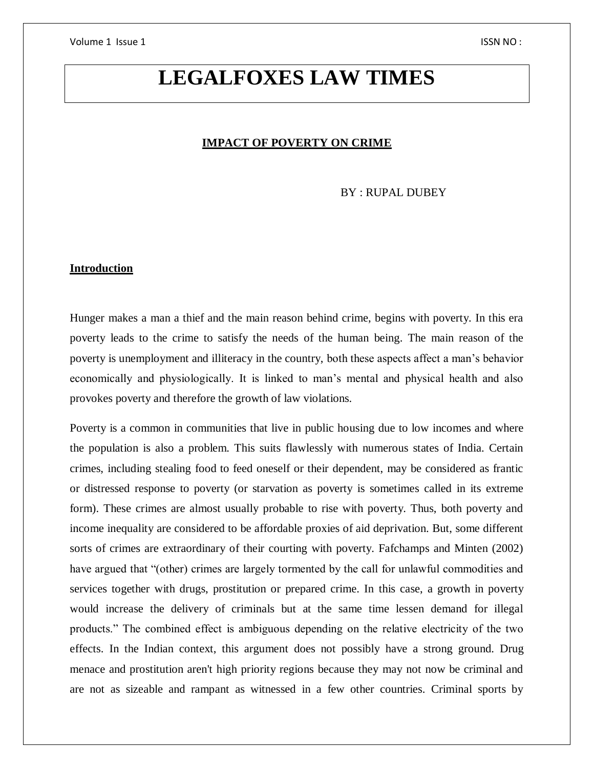# **LEGALFOXES LAW TIMES**

### **IMPACT OF POVERTY ON CRIME**

BY : RUPAL DUBEY

# **Introduction**

Hunger makes a man a thief and the main reason behind crime, begins with poverty. In this era poverty leads to the crime to satisfy the needs of the human being. The main reason of the poverty is unemployment and illiteracy in the country, both these aspects affect a man's behavior economically and physiologically. It is linked to man's mental and physical health and also provokes poverty and therefore the growth of law violations.

Poverty is a common in communities that live in public housing due to low incomes and where the population is also a problem. This suits flawlessly with numerous states of India. Certain crimes, including stealing food to feed oneself or their dependent, may be considered as frantic or distressed response to poverty (or starvation as poverty is sometimes called in its extreme form). These crimes are almost usually probable to rise with poverty. Thus, both poverty and income inequality are considered to be affordable proxies of aid deprivation. But, some different sorts of crimes are extraordinary of their courting with poverty. Fafchamps and Minten (2002) have argued that "(other) crimes are largely tormented by the call for unlawful commodities and services together with drugs, prostitution or prepared crime. In this case, a growth in poverty would increase the delivery of criminals but at the same time lessen demand for illegal products." The combined effect is ambiguous depending on the relative electricity of the two effects. In the Indian context, this argument does not possibly have a strong ground. Drug menace and prostitution aren't high priority regions because they may not now be criminal and are not as sizeable and rampant as witnessed in a few other countries. Criminal sports by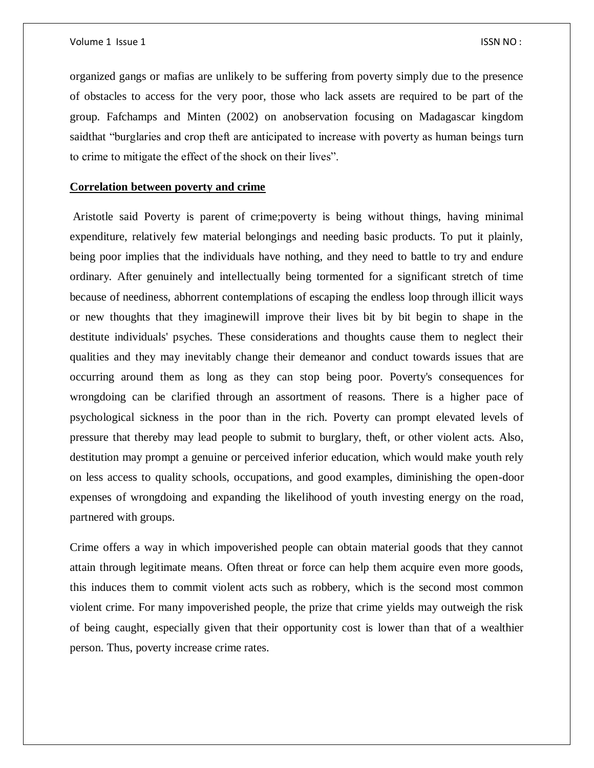organized gangs or mafias are unlikely to be suffering from poverty simply due to the presence of obstacles to access for the very poor, those who lack assets are required to be part of the group. Fafchamps and Minten (2002) on anobservation focusing on Madagascar kingdom saidthat "burglaries and crop theft are anticipated to increase with poverty as human beings turn to crime to mitigate the effect of the shock on their lives".

## **Correlation between poverty and crime**

Aristotle said Poverty is parent of crime;poverty is being without things, having minimal expenditure, relatively few material belongings and needing basic products. To put it plainly, being poor implies that the individuals have nothing, and they need to battle to try and endure ordinary. After genuinely and intellectually being tormented for a significant stretch of time because of neediness, abhorrent contemplations of escaping the endless loop through illicit ways or new thoughts that they imaginewill improve their lives bit by bit begin to shape in the destitute individuals' psyches. These considerations and thoughts cause them to neglect their qualities and they may inevitably change their demeanor and conduct towards issues that are occurring around them as long as they can stop being poor. Poverty's consequences for wrongdoing can be clarified through an assortment of reasons. There is a higher pace of psychological sickness in the poor than in the rich. Poverty can prompt elevated levels of pressure that thereby may lead people to submit to burglary, theft, or other violent acts. Also, destitution may prompt a genuine or perceived inferior education, which would make youth rely on less access to quality schools, occupations, and good examples, diminishing the open-door expenses of wrongdoing and expanding the likelihood of youth investing energy on the road, partnered with groups.

Crime offers a way in which impoverished people can obtain material goods that they cannot attain through legitimate means. Often threat or force can help them acquire even more goods, this induces them to commit violent acts such as robbery, which is the second most common violent crime. For many impoverished people, the prize that crime yields may outweigh the risk of being caught, especially given that their opportunity cost is lower than that of a wealthier person. Thus, poverty increase crime rates.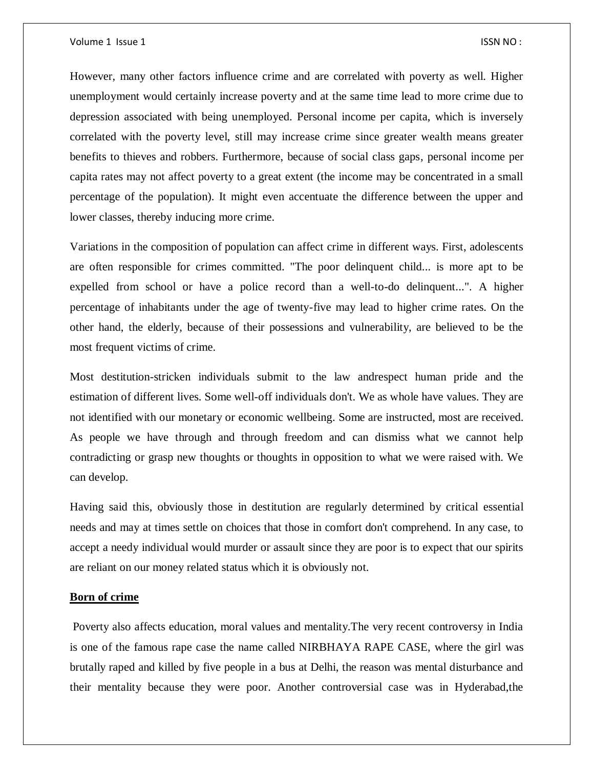However, many other factors influence crime and are correlated with poverty as well. Higher unemployment would certainly increase poverty and at the same time lead to more crime due to depression associated with being unemployed. Personal income per capita, which is inversely correlated with the poverty level, still may increase crime since greater wealth means greater benefits to thieves and robbers. Furthermore, because of social class gaps, personal income per capita rates may not affect poverty to a great extent (the income may be concentrated in a small percentage of the population). It might even accentuate the difference between the upper and lower classes, thereby inducing more crime.

Variations in the composition of population can affect crime in different ways. First, adolescents are often responsible for crimes committed. "The poor delinquent child... is more apt to be expelled from school or have a police record than a well-to-do delinquent...". A higher percentage of inhabitants under the age of twenty-five may lead to higher crime rates. On the other hand, the elderly, because of their possessions and vulnerability, are believed to be the most frequent victims of crime.

Most destitution-stricken individuals submit to the law andrespect human pride and the estimation of different lives. Some well-off individuals don't. We as whole have values. They are not identified with our monetary or economic wellbeing. Some are instructed, most are received. As people we have through and through freedom and can dismiss what we cannot help contradicting or grasp new thoughts or thoughts in opposition to what we were raised with. We can develop.

Having said this, obviously those in destitution are regularly determined by critical essential needs and may at times settle on choices that those in comfort don't comprehend. In any case, to accept a needy individual would murder or assault since they are poor is to expect that our spirits are reliant on our money related status which it is obviously not.

# **Born of crime**

Poverty also affects education, moral values and mentality.The very recent controversy in India is one of the famous rape case the name called NIRBHAYA RAPE CASE, where the girl was brutally raped and killed by five people in a bus at Delhi, the reason was mental disturbance and their mentality because they were poor. Another controversial case was in Hyderabad,the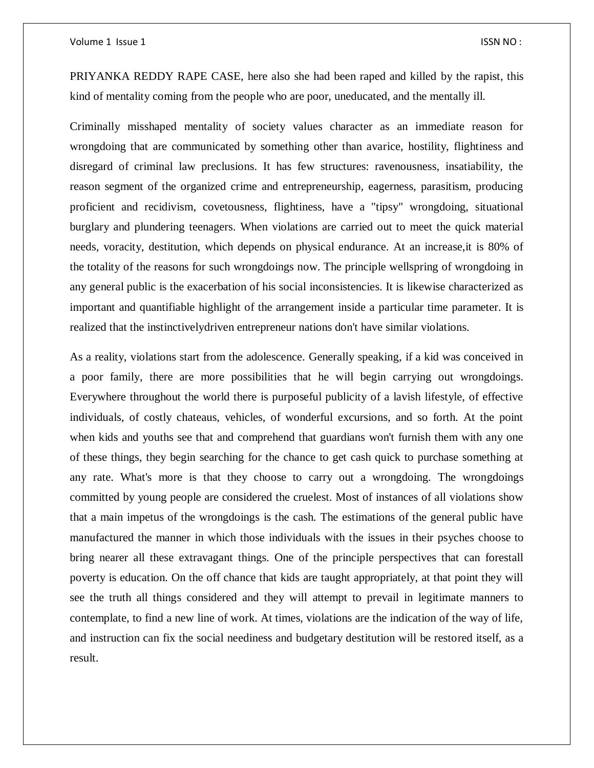PRIYANKA REDDY RAPE CASE, here also she had been raped and killed by the rapist, this kind of mentality coming from the people who are poor, uneducated, and the mentally ill.

Criminally misshaped mentality of society values character as an immediate reason for wrongdoing that are communicated by something other than avarice, hostility, flightiness and disregard of criminal law preclusions. It has few structures: ravenousness, insatiability, the reason segment of the organized crime and entrepreneurship, eagerness, parasitism, producing proficient and recidivism, covetousness, flightiness, have a "tipsy" wrongdoing, situational burglary and plundering teenagers. When violations are carried out to meet the quick material needs, voracity, destitution, which depends on physical endurance. At an increase,it is 80% of the totality of the reasons for such wrongdoings now. The principle wellspring of wrongdoing in any general public is the exacerbation of his social inconsistencies. It is likewise characterized as important and quantifiable highlight of the arrangement inside a particular time parameter. It is realized that the instinctivelydriven entrepreneur nations don't have similar violations.

As a reality, violations start from the adolescence. Generally speaking, if a kid was conceived in a poor family, there are more possibilities that he will begin carrying out wrongdoings. Everywhere throughout the world there is purposeful publicity of a lavish lifestyle, of effective individuals, of costly chateaus, vehicles, of wonderful excursions, and so forth. At the point when kids and youths see that and comprehend that guardians won't furnish them with any one of these things, they begin searching for the chance to get cash quick to purchase something at any rate. What's more is that they choose to carry out a wrongdoing. The wrongdoings committed by young people are considered the cruelest. Most of instances of all violations show that a main impetus of the wrongdoings is the cash. The estimations of the general public have manufactured the manner in which those individuals with the issues in their psyches choose to bring nearer all these extravagant things. One of the principle perspectives that can forestall poverty is education. On the off chance that kids are taught appropriately, at that point they will see the truth all things considered and they will attempt to prevail in legitimate manners to contemplate, to find a new line of work. At times, violations are the indication of the way of life, and instruction can fix the social neediness and budgetary destitution will be restored itself, as a result.